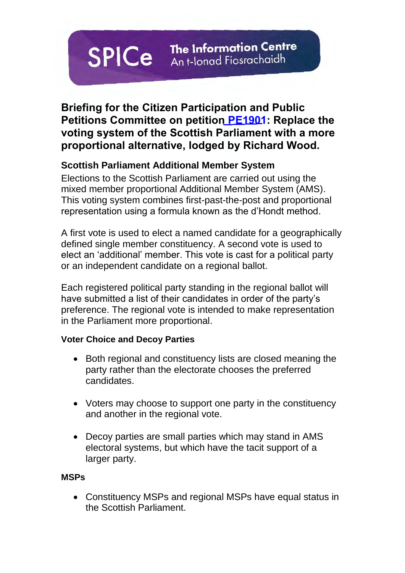# **SPICe The Information Centre**  An t-lonad Fiosrachaidh

## **Briefing for the Citizen Participation and Public Petitions Committee on petition [PE1901:](https://petitions.parliament.scot/petitions/PE1901) Replace the voting system of the Scottish Parliament with a more proportional alternative, lodged by Richard Wood.**

## **Scottish Parliament Additional Member System**

Elections to the Scottish Parliament are carried out using the mixed member proportional Additional Member System (AMS). This voting system combines first-past-the-post and proportional representation using a formula known as the d'Hondt method.

A first vote is used to elect a named candidate for a geographically defined single member constituency. A second vote is used to elect an 'additional' member. This vote is cast for a political party or an independent candidate on a regional ballot.

Each registered political party standing in the regional ballot will have submitted a list of their candidates in order of the party's preference. The regional vote is intended to make representation in the Parliament more proportional.

#### **Voter Choice and Decoy Parties**

- Both regional and constituency lists are closed meaning the party rather than the electorate chooses the preferred candidates.
- Voters may choose to support one party in the constituency and another in the regional vote.
- Decoy parties are small parties which may stand in AMS electoral systems, but which have the tacit support of a larger party.

#### **MSPs**

• Constituency MSPs and regional MSPs have equal status in the Scottish Parliament.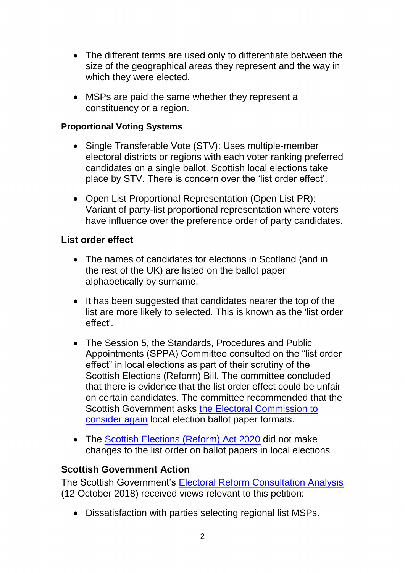- The different terms are used only to differentiate between the size of the geographical areas they represent and the way in which they were elected.
- MSPs are paid the same whether they represent a constituency or a region.

#### **Proportional Voting Systems**

- Single Transferable Vote (STV): Uses multiple-member electoral districts or regions with each voter ranking preferred candidates on a single ballot. Scottish local elections take place by STV. There is concern over the 'list order effect'.
- Open List Proportional Representation (Open List PR): Variant of party-list proportional representation where voters have influence over the preference order of party candidates.

## **List order effect**

- The names of candidates for elections in Scotland (and in the rest of the UK) are listed on the ballot paper alphabetically by surname.
- It has been suggested that candidates nearer the top of the list are more likely to selected. This is known as the 'list order effect'.
- The Session 5, the Standards, Procedures and Public Appointments (SPPA) Committee consulted on the "list order effect" in local elections as part of their scrutiny of the Scottish Elections (Reform) Bill. The committee concluded that there is evidence that the list order effect could be unfair on certain candidates. The committee recommended that the Scottish Government asks [the Electoral Commission to](https://www.electoralcommission.org.uk/who-we-are-and-what-we-do/our-views-and-research/our-research/ballot-paper-ordering-scottish-council-elections)  [consider again](https://www.electoralcommission.org.uk/who-we-are-and-what-we-do/our-views-and-research/our-research/ballot-paper-ordering-scottish-council-elections) local election ballot paper formats.
- The [Scottish Elections \(Reform\) Act 2020](https://www.legislation.gov.uk/asp/2020/12/contents) did not make changes to the list order on ballot papers in local elections

## **Scottish Government Action**

The Scottish Government's [Electoral Reform Consultation](https://www.gov.scot/publications/electoral-reform-consultation-analysis/pages/14/) Analysis (12 October 2018) received views relevant to this petition:

• Dissatisfaction with parties selecting regional list MSPs.